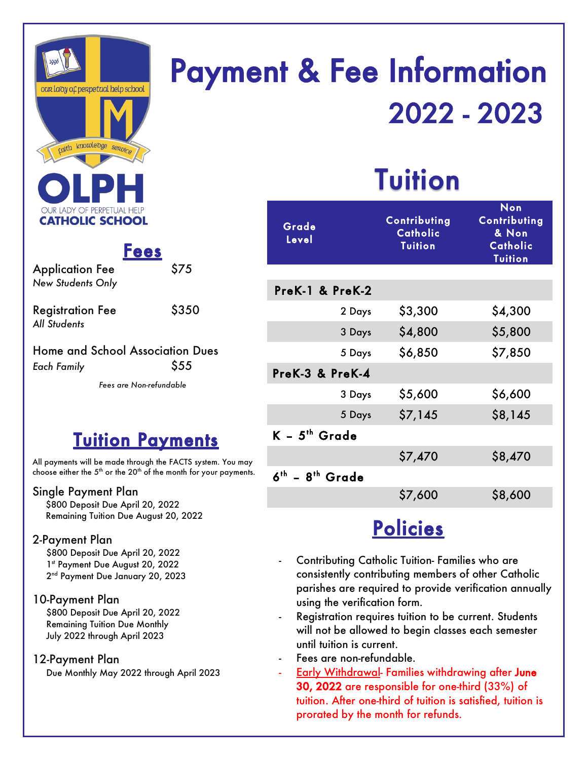

# **Payment & Fee Information** 2022 - 2023

## **Tuition**

|       | Grade<br>Level              | Contributing<br>Catholic<br><b>Tuition</b> | <b>Non</b><br>Contributing<br>& Non<br>Catholic<br><b>Tuition</b> |
|-------|-----------------------------|--------------------------------------------|-------------------------------------------------------------------|
|       |                             |                                            |                                                                   |
|       | PreK-1 & PreK-2             |                                            |                                                                   |
|       | 2 Days                      | \$3,300                                    | \$4,300                                                           |
|       | 3 Days                      | \$4,800                                    | \$5,800                                                           |
|       | 5 Days                      | \$6,850                                    | \$7,850                                                           |
|       | PreK-3 & PreK-4             |                                            |                                                                   |
|       | 3 Days                      | \$5,600                                    | \$6,600                                                           |
|       | 5 Days                      | \$7,145                                    | \$8,145                                                           |
|       | $K - 5$ <sup>th</sup> Grade |                                            |                                                                   |
| nay   |                             | \$7,470                                    | \$8,470                                                           |
| ents. | $6^{th}$ - $8^{th}$ Grade   |                                            |                                                                   |
|       |                             | \$7,600                                    | \$8,600                                                           |
|       |                             |                                            |                                                                   |

### **Policies**

- Contributing Catholic Tuition- Families who are consistently contributing members of other Catholic parishes are required to provide verification annually using the verification form.
- Registration requires tuition to be current. Students will not be allowed to begin classes each semester until tuition is current.
- Fees are non-refundable.
- **Early Withdrawal- Families withdrawing after June** 30, 2022 are responsible for one-third (33%) of tuition. After one-third of tuition is satisfied, tuition is prorated by the month for refunds.

*New Students Only*

| <b>Registration Fee</b> | \$350 |
|-------------------------|-------|
| All Students            |       |

Application Fee \$75

#### Home and School Association Dues *Each Family* \$55

*Fees are Non-refundable*

**Fees** 

### **Tuition Payments**

All payments will be made through the FACTS system. You n choose either the  $5<sup>th</sup>$  or the  $20<sup>th</sup>$  of the month for your payments.

#### Single Payment Plan

 \$800 Deposit Due April 20, 2022 Remaining Tuition Due August 20, 2022

#### 2-Payment Plan

\$800 Deposit Due April 20, 2022 1st Payment Due August 20, 2022 2<sup>nd</sup> Payment Due January 20, 2023

#### 10-Payment Plan

\$800 Deposit Due April 20, 2022 Remaining Tuition Due Monthly July 2022 through April 2023

#### 12-Payment Plan

Due Monthly May 2022 through April 2023